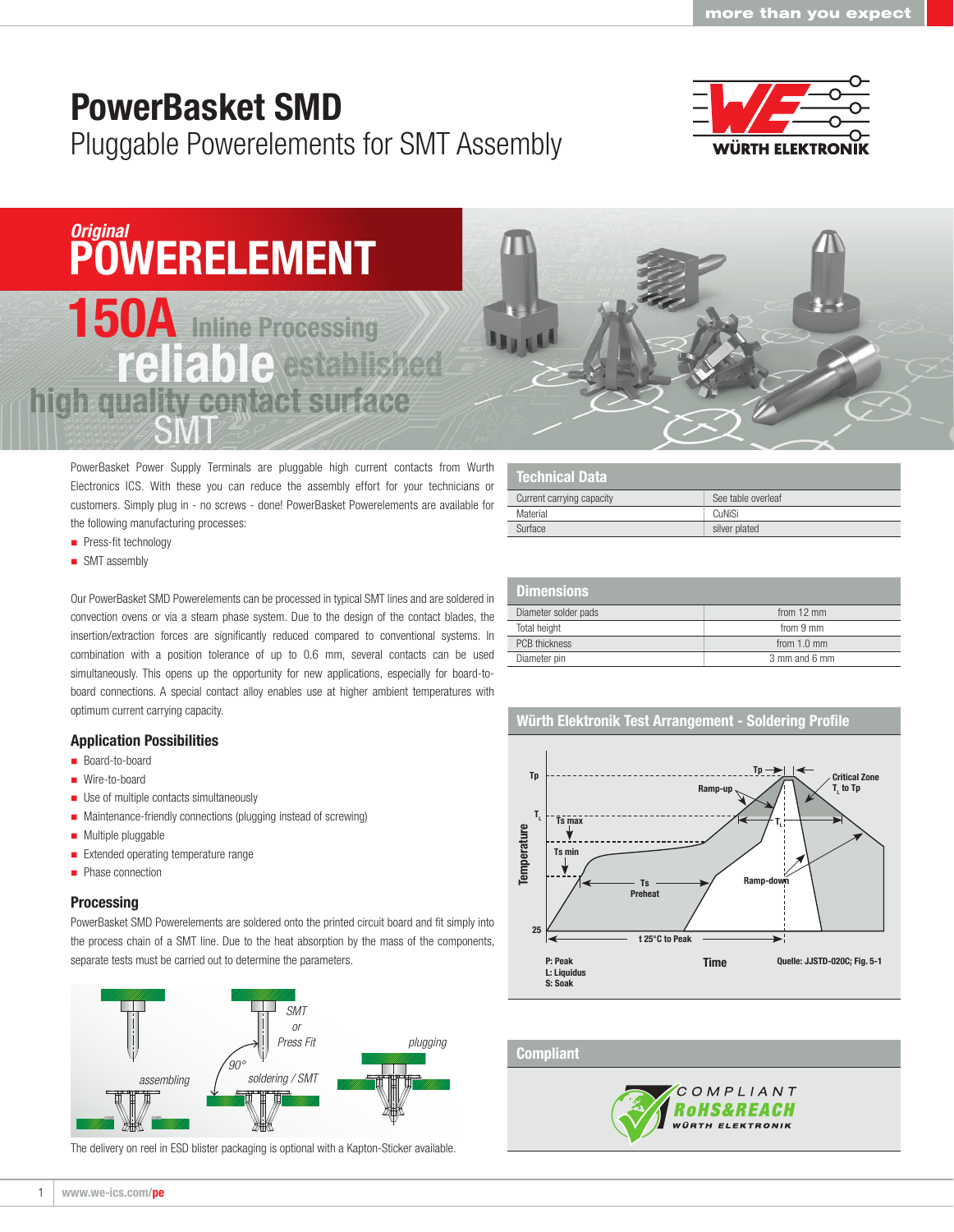# PowerBasket SMD

Pluggable Powerelements for SMT Assembly



## *Original* **POWERELEMENT**

# 150A Inline Processing SMT reliable stabished high quality contact surface

PowerBasket Power Supply Terminals are pluggable high current contacts from Wurth Electronics ICS. With these you can reduce the assembly effort for your technicians or customers. Simply plug in - no screws - done! PowerBasket Powerelements are available for the following manufacturing processes:

- **Press-fit technology**
- SMT assembly

Our PowerBasket SMD Powerelements can be processed in typical SMT lines and are soldered in convection ovens or via a steam phase system. Due to the design of the contact blades, the insertion/extraction forces are significantly reduced compared to conventional systems. In combination with a position tolerance of up to 0.6 mm, several contacts can be used simultaneously. This opens up the opportunity for new applications, especially for board-toboard connections. A special contact alloy enables use at higher ambient temperatures with optimum current carrying capacity.

#### Application Possibilities

- Board-to-board
- Wire-to-board
- **Use of multiple contacts simultaneously**
- **Maintenance-friendly connections (plugging instead of screwing)**
- **Multiple pluggable**
- **Extended operating temperature range**
- Phase connection

#### **Processing**

PowerBasket SMD Powerelements are soldered onto the printed circuit board and fit simply into the process chain of a SMT line. Due to the heat absorption by the mass of the components, separate tests must be carried out to determine the parameters.



The delivery on reel in ESD blister packaging is optional with a Kapton-Sticker available.

| <b>Technical Data</b>     |                    |
|---------------------------|--------------------|
| Current carrying capacity | See table overleaf |
| Material                  | CuNiSi             |
| Surface                   | silver plated      |

| <b>Dimensions</b>    |                       |
|----------------------|-----------------------|
| Diameter solder pads | from $12 \text{ mm}$  |
| Total height         | from 9 mm             |
| <b>PCB thickness</b> | from $1.0 \text{ mm}$ |
| Diameter pin         | 3 mm and 6 mm         |

### Würth Elektronik Test Arrangement - Soldering Profile



#### **Compliant**